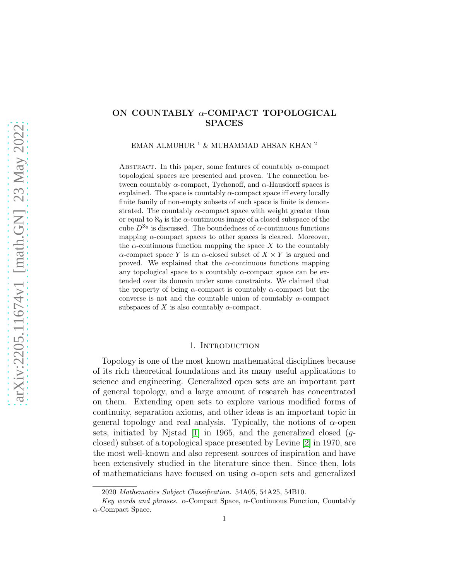# ON COUNTABLY  $\alpha$ -COMPACT TOPOLOGICAL SPACES

EMAN ALMUHUR $^1$   $\&$  MUHAMMAD AHSAN KHAN  $^2$ 

ABSTRACT. In this paper, some features of countably  $\alpha$ -compact topological spaces are presented and proven. The connection between countably  $\alpha$ -compact, Tychonoff, and  $\alpha$ -Hausdorff spaces is explained. The space is countably  $\alpha$ -compact space iff every locally finite family of non-empty subsets of such space is finite is demonstrated. The countably  $\alpha$ -compact space with weight greater than or equal to  $\aleph_0$  is the  $\alpha$ -continuous image of a closed subspace of the cube  $D^{\aleph_0}$  is discussed. The boundedness of  $\alpha$ -continuous functions mapping  $\alpha$ -compact spaces to other spaces is cleared. Moreover, the  $\alpha$ -continuous function mapping the space X to the countably  $\alpha$ -compact space Y is an  $\alpha$ -closed subset of  $X \times Y$  is argued and proved. We explained that the  $\alpha$ -continuous functions mapping any topological space to a countably  $\alpha$ -compact space can be extended over its domain under some constraints. We claimed that the property of being  $\alpha$ -compact is countably  $\alpha$ -compact but the converse is not and the countable union of countably  $\alpha$ -compact subspaces of X is also countably  $\alpha$ -compact.

#### 1. INTRODUCTION

Topology is one of the most known mathematical disciplines because of its rich theoretical foundations and its many useful applications to science and engineering. Generalized open sets are an important part of general topology, and a large amount of research has concentrated on them. Extending open sets to explore various modified forms of continuity, separation axioms, and other ideas is an important topic in general topology and real analysis. Typically, the notions of  $\alpha$ -open sets, initiated by Njstad  $[1]$  in 1965, and the generalized closed  $(q$ closed) subset of a topological space presented by Levine [\[2\]](#page-8-1) in 1970, are the most well-known and also represent sources of inspiration and have been extensively studied in the literature since then. Since then, lots of mathematicians have focused on using  $\alpha$ -open sets and generalized

<sup>2020</sup> Mathematics Subject Classification. 54A05, 54A25, 54B10.

Key words and phrases.  $\alpha$ -Compact Space,  $\alpha$ -Continuous Function, Countably α-Compact Space.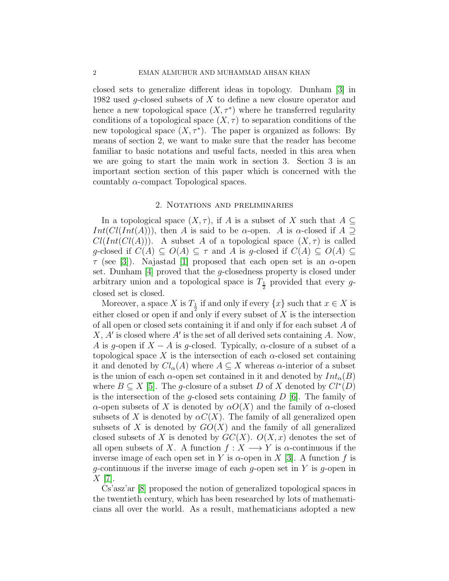closed sets to generalize different ideas in topology. Dunham [\[3\]](#page-9-0) in 1982 used g-closed subsets of X to define a new closure operator and hence a new topological space  $(X, \tau^*)$  where he transferred regularity conditions of a topological space  $(X, \tau)$  to separation conditions of the new topological space  $(X, \tau^*)$ . The paper is organized as follows: By means of section 2, we want to make sure that the reader has become familiar to basic notations and useful facts, needed in this area when we are going to start the main work in section 3. Section 3 is an important section section of this paper which is concerned with the countably  $\alpha$ -compact Topological spaces.

## 2. Notations and preliminaries

In a topological space  $(X, \tau)$ , if A is a subset of X such that  $A \subseteq$ Int( $Cl(Int(A))$ ), then A is said to be  $\alpha$ -open. A is  $\alpha$ -closed if  $A \supset$  $Cl(Int(Cl(A)))$ . A subset A of a topological space  $(X, \tau)$  is called g-closed if  $C(A) \subseteq O(A) \subseteq \tau$  and A is g-closed if  $C(A) \subseteq O(A) \subseteq$  $\tau$  (see [\[3\]](#page-9-0)). Najastad [\[1\]](#page-8-0) proposed that each open set is an  $\alpha$ -open set. Dunham [\[4\]](#page-9-1) proved that the g-closedness property is closed under arbitrary union and a topological space is  $T_{\frac{1}{2}}$  provided that every gclosed set is closed.

Moreover, a space X is  $T_{\frac{1}{2}}$  if and only if every  $\{x\}$  such that  $x \in X$  is either closed or open if and only if every subset of  $X$  is the intersection of all open or closed sets containing it if and only if for each subset A of  $X, A'$  is closed where  $A'$  is the set of all derived sets containing A. Now, A is g-open if  $X - A$  is g-closed. Typically,  $\alpha$ -closure of a subset of a topological space X is the intersection of each  $\alpha$ -closed set containing it and denoted by  $Cl_{\alpha}(A)$  where  $A \subseteq X$  whereas  $\alpha$ -interior of a subset is the union of each  $\alpha$ -open set contained in it and denoted by  $Int_{\alpha}(B)$ where  $B \subseteq X$  [\[5\]](#page-9-2). The g-closure of a subset D of X denoted by  $Cl^*(D)$ is the intersection of the g-closed sets containing  $D \vert 6$ . The family of α-open subsets of X is denoted by  $\alpha O(X)$  and the family of α-closed subsets of X is denoted by  $\alpha C(X)$ . The family of all generalized open subsets of X is denoted by  $GO(X)$  and the family of all generalized closed subsets of X is denoted by  $GC(X)$ .  $O(X, x)$  denotes the set of all open subsets of X. A function  $f: X \longrightarrow Y$  is  $\alpha$ -continuous if the inverse image of each open set in Y is  $\alpha$ -open in X [\[3\]](#page-9-0). A function f is g-continuous if the inverse image of each g-open set in  $Y$  is g-open in  $X$  |7|.

Cs'asz'ar [\[8\]](#page-9-5) proposed the notion of generalized topological spaces in the twentieth century, which has been researched by lots of mathematicians all over the world. As a result, mathematicians adopted a new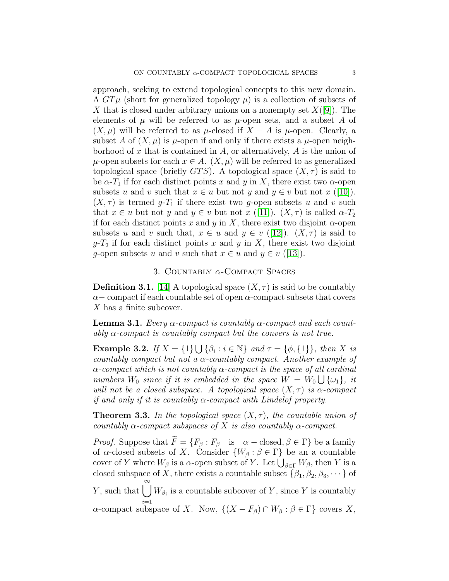approach, seeking to extend topological concepts to this new domain. A  $GT\mu$  (short for generalized topology  $\mu$ ) is a collection of subsets of X that is closed under arbitrary unions on a nonempty set  $X([9])$  $X([9])$  $X([9])$ . The elements of  $\mu$  will be referred to as  $\mu$ -open sets, and a subset A of  $(X, \mu)$  will be referred to as  $\mu$ -closed if  $X - A$  is  $\mu$ -open. Clearly, a subset A of  $(X, \mu)$  is  $\mu$ -open if and only if there exists a  $\mu$ -open neighborhood of x that is contained in A, or alternatively, A is the union of  $\mu$ -open subsets for each  $x \in A$ .  $(X, \mu)$  will be referred to as generalized topological space (briefly  $GTS$ ). A topological space  $(X, \tau)$  is said to be  $\alpha$ -T<sub>1</sub> if for each distinct points x and y in X, there exist two  $\alpha$ -open subsets u and v such that  $x \in u$  but not y and  $y \in v$  but not x ([\[10\]](#page-9-7)).  $(X, \tau)$  is termed q-T<sub>1</sub> if there exist two q-open subsets u and v such that  $x \in u$  but not y and  $y \in v$  but not  $x$  ([\[11\]](#page-9-8)).  $(X, \tau)$  is called  $\alpha$ - $T_2$ if for each distinct points x and y in X, there exist two disjoint  $\alpha$ -open subsets u and v such that,  $x \in u$  and  $y \in v$  ([\[12\]](#page-9-9)).  $(X, \tau)$  is said to  $g-T_2$  if for each distinct points x and y in X, there exist two disjoint g-open subsets u and v such that  $x \in u$  and  $y \in v$  ([\[13\]](#page-9-10)).

# 3. COUNTABLY  $\alpha$ -COMPACT SPACES

**Definition 3.1.** [\[14\]](#page-9-11) A topological space  $(X, \tau)$  is said to be countably  $\alpha-$  compact if each countable set of open  $\alpha$ -compact subsets that covers X has a finite subcover.

**Lemma 3.1.** Every  $\alpha$ -compact is countably  $\alpha$ -compact and each countably  $\alpha$ -compact is countably compact but the convers is not true.

Example 3.2. If  $X = \{1\} \bigcup {\{\beta_i : i \in \mathbb{N}\}\}$  and  $\tau = \{\phi, \{1\}\}\$ , then X is countably compact but not a  $\alpha$ -countably compact. Another example of  $\alpha$ -compact which is not countably  $\alpha$ -compact is the space of all cardinal numbers  $W_0$  since if it is embedded in the space  $\dot{W} = \dot{W}_0 \bigcup \{\omega_1\}$ , it will not be a closed subspace. A topological space  $(X, \tau)$  is  $\alpha$ -compact if and only if it is countably  $\alpha$ -compact with Lindelof property.

**Theorem 3.3.** In the topological space  $(X, \tau)$ , the countable union of countably  $\alpha$ -compact subspaces of X is also countably  $\alpha$ -compact.

*Proof.* Suppose that  $\widetilde{F} = \{F_\beta : F_\beta \text{ is } \alpha - \text{closed}, \beta \in \Gamma\}$  be a family of  $\alpha$ -closed subsets of X. Consider  $\{W_\beta : \beta \in \Gamma\}$  be an a countable cover of Y where  $W_{\beta}$  is a  $\alpha$ -open subset of Y. Let  $\bigcup_{\beta \in \Gamma} W_{\beta}$ , then Y is a closed subspace of X, there exists a countable subset  $\{\beta_1, \beta_2, \beta_3, \dots\}$  of Y, such that  $\bigcup_{\beta_i}^{\infty} W_{\beta_i}$  is a countable subcover of Y, since Y is countably  $i=1$  $\alpha$ -compact subspace of X. Now,  $\{(X - F_{\beta}) \cap W_{\beta} : \beta \in \Gamma\}$  covers X,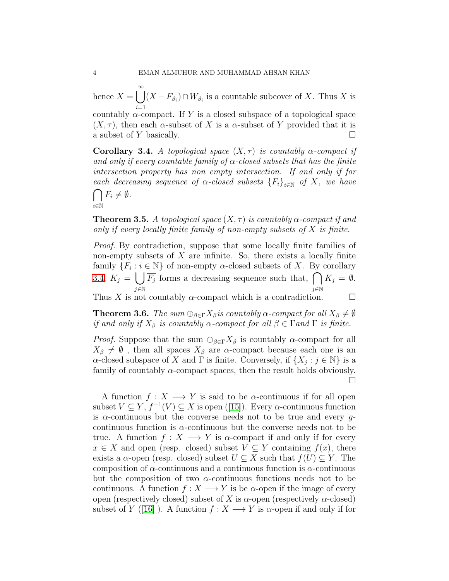hence  $X = \bigcup_{k=1}^{\infty}$  $i=1$  $(X - F_{\beta_i}) \cap W_{\beta_i}$  is a countable subcover of X. Thus X is

countably  $\alpha$ -compact. If Y is a closed subspace of a topological space  $(X, \tau)$ , then each  $\alpha$ -subset of X is a  $\alpha$ -subset of Y provided that it is a subset of Y basically.

<span id="page-3-0"></span>**Corollary 3.4.** A topological space  $(X, \tau)$  is countably  $\alpha$ -compact if and only if every countable family of  $\alpha$ -closed subsets that has the finite intersection property has non empty intersection. If and only if for each decreasing sequence of  $\alpha$ -closed subsets  ${F_i}_{i\in\mathbb{N}}$  of X, we have

$$
\bigcap_{i\in\mathbb{N}}F_i\neq\emptyset.
$$

**Theorem 3.5.** A topological space  $(X, \tau)$  is countably  $\alpha$ -compact if and only if every locally finite family of non-empty subsets of  $X$  is finite.

Proof. By contradiction, suppose that some locally finite families of non-empty subsets of  $X$  are infinite. So, there exists a locally finite family  $\{F_i : i \in \mathbb{N}\}$  of non-empty  $\alpha$ -closed subsets of X. By corollary [3.4,](#page-3-0)  $K_j = \begin{pmatrix} 1 \\ 1 \end{pmatrix}$ j∈N  $\overline{F_j}$  forms a decreasing sequence such that,  $\bigcap$ j∈N  $K_j = \emptyset$ . Thus X is not countably  $\alpha$ -compact which is a contradiction.  $\Box$ 

**Theorem 3.6.** The sum  $\bigoplus_{\beta \in \Gamma} X_{\beta}$  is countably  $\alpha$ -compact for all  $X_{\beta} \neq \emptyset$ if and only if  $X_\beta$  is countably  $\alpha$ -compact for all  $\beta \in \Gamma$  and  $\Gamma$  is finite.

*Proof.* Suppose that the sum  $\bigoplus_{\beta \in \Gamma} X_{\beta}$  is countably  $\alpha$ -compact for all  $X_{\beta} \neq \emptyset$ , then all spaces  $X_{\beta}$  are  $\alpha$ -compact because each one is an  $\alpha$ -closed subspace of X and  $\Gamma$  is finite. Conversely, if  $\{X_j : j \in \mathbb{N}\}\$ is a family of countably  $\alpha$ -compact spaces, then the result holds obviously. П

A function  $f: X \longrightarrow Y$  is said to be  $\alpha$ -continuous if for all open subset $V \subseteq Y$ ,  $f^{-1}(V) \subseteq X$  is open ([\[15\]](#page-9-12)). Every  $\alpha$ -continuous function is  $\alpha$ -continuous but the converse needs not to be true and every gcontinuous function is  $\alpha$ -continuous but the converse needs not to be true. A function  $f: X \longrightarrow Y$  is  $\alpha$ -compact if and only if for every  $x \in X$  and open (resp. closed) subset  $V \subseteq Y$  containing  $f(x)$ , there exists a  $\alpha$ -open (resp. closed) subset  $U \subset X$  such that  $f(U) \subset Y$ . The composition of  $\alpha$ -continuous and a continuous function is  $\alpha$ -continuous but the composition of two  $\alpha$ -continuous functions needs not to be continuous. A function  $f: X \longrightarrow Y$  is be  $\alpha$ -open if the image of every open (respectively closed) subset of X is  $\alpha$ -open (respectively  $\alpha$ -closed) subset of Y ([\[16\]](#page-9-13)). A function  $f: X \longrightarrow Y$  is  $\alpha$ -open if and only if for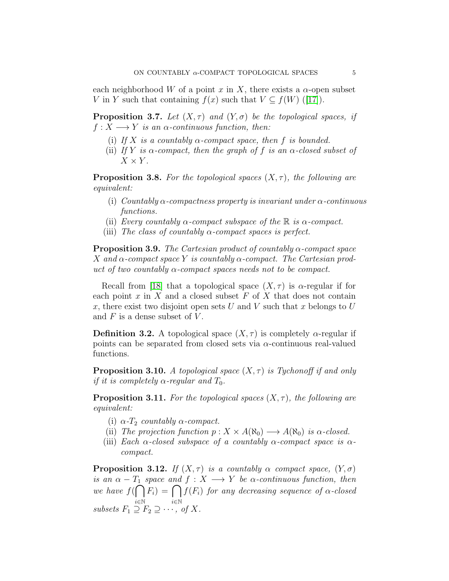each neighborhood W of a point x in X, there exists a  $\alpha$ -open subset Vin Y such that containing  $f(x)$  such that  $V \subseteq f(W)$  ([\[17\]](#page-9-14)).

**Proposition 3.7.** Let  $(X, \tau)$  and  $(Y, \sigma)$  be the topological spaces, if  $f: X \longrightarrow Y$  is an  $\alpha$ -continuous function, then:

- (i) If X is a countably  $\alpha$ -compact space, then f is bounded.
- (ii) If Y is  $\alpha$ -compact, then the graph of f is an  $\alpha$ -closed subset of  $X \times Y$ .

**Proposition 3.8.** For the topological spaces  $(X, \tau)$ , the following are equivalent:

- (i) Countably  $\alpha$ -compactness property is invariant under  $\alpha$ -continuous functions.
- (ii) Every countably  $\alpha$ -compact subspace of the  $\mathbb R$  is  $\alpha$ -compact.
- (iii) The class of countably  $\alpha$ -compact spaces is perfect.

**Proposition 3.9.** The Cartesian product of countably  $\alpha$ -compact space X and  $\alpha$ -compact space Y is countably  $\alpha$ -compact. The Cartesian product of two countably  $\alpha$ -compact spaces needs not to be compact.

Recall from [\[18\]](#page-9-15) that a topological space  $(X, \tau)$  is  $\alpha$ -regular if for each point  $x$  in  $X$  and a closed subset  $F$  of  $X$  that does not contain x, there exist two disjoint open sets U and V such that x belongs to U and  $F$  is a dense subset of  $V$ .

**Definition 3.2.** A topological space  $(X, \tau)$  is completely  $\alpha$ -regular if points can be separated from closed sets via  $\alpha$ -continuous real-valued functions.

**Proposition 3.10.** A topological space  $(X, \tau)$  is Tychonoff if and only if it is completely  $\alpha$ -regular and  $T_0$ .

**Proposition 3.11.** For the topological spaces  $(X, \tau)$ , the following are equivalent:

- (i)  $\alpha$ - $T_2$  countably  $\alpha$ -compact.
- (ii) The projection function  $p: X \times A(\aleph_0) \longrightarrow A(\aleph_0)$  is  $\alpha$ -closed.
- (iii) Each  $\alpha$ -closed subspace of a countably  $\alpha$ -compact space is  $\alpha$ compact.

**Proposition 3.12.** If  $(X, \tau)$  is a countably  $\alpha$  compact space,  $(Y, \sigma)$ is an  $\alpha - T_1$  space and  $f : X \longrightarrow Y$  be  $\alpha$ -continuous function, then we have  $f(\bigcap F_i) = \bigcap f(F_i)$  for any decreasing sequence of  $\alpha$ -closed i∈N i∈N subsets  $F_1 \supseteq F_2 \supseteq \cdots$ , of X.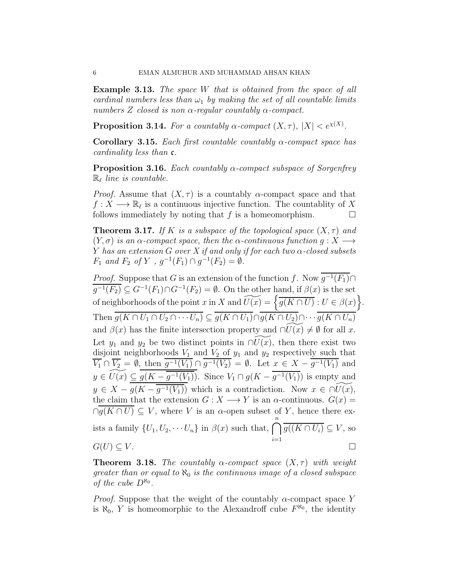Example 3.13. The space W that is obtained from the space of all cardinal numbers less than  $\omega_1$  by making the set of all countable limits numbers Z closed is non  $\alpha$ -regular countably  $\alpha$ -compact.

**Proposition 3.14.** For a countably  $\alpha$ -compact  $(X, \tau)$ ,  $|X| < e^{\chi(X)}$ .

Corollary 3.15. Each first countable countably  $\alpha$ -compact space has cardinality less than c.

**Proposition 3.16.** Each countably  $\alpha$ -compact subspace of Sorgenfrey  $\mathbb{R}_{\ell}$  line is countable.

*Proof.* Assume that  $(X, \tau)$  is a countably  $\alpha$ -compact space and that  $f: X \longrightarrow \mathbb{R}_{\ell}$  is a continuous injective function. The countablity of X follows immediately by noting that f is a homeomorphism.  $\Box$ 

**Theorem 3.17.** If K is a subspace of the topological space  $(X, \tau)$  and  $(Y, \sigma)$  is an  $\alpha$ -compact space, then the  $\alpha$ -continuous function  $g: X \longrightarrow Y$ Y has an extension G over X if and only if for each two  $\alpha$ -closed subsets  $F_1$  and  $F_2$  of Y,  $g^{-1}(F_1) \cap g^{-1}(F_2) = \emptyset$ .

*Proof.* Suppose that G is an extension of the function f. Now  $\overline{g^{-1}(F_1)} \cap$  $\overline{g^{-1}(F_2)} \subseteq G^{-1}(F_1) \cap G^{-1}(F_2) = \emptyset$ . On the other hand, if  $\beta(x)$  is the set of neighborhoods of the point x in X and  $\widetilde{U(x)} = \left\{ \frac{\partial}{\partial (K \cap U)} : U \in \beta(x) \right\}.$ Then  $g(K \cap U_1 \cap U_2 \cap \cdots \cap U_n) \subseteq g(K \cap U_1) \cap g(K \cap U_2) \cap \cdots g(K \cap U_n)$ and  $\beta(x)$  has the finite intersection property and  $\cap U(x) \neq \emptyset$  for all x. Let  $y_1$  and  $y_2$  be two distinct points in  $\cap U(x)$ , then there exist two disjoint neighborhoods  $V_1$  and  $V_2$  of  $y_1$  and  $y_2$  respectively such that  $\overline{V_1} \cap \overline{V_2} = \emptyset$ , then  $\overline{g^{-1}(V_1)} \cap \overline{g^{-1}(V_2)} = \emptyset$ . Let  $x \in X - \overline{g^{-1}(V_1)}$  and  $y \in \widetilde{U(x)} \subseteq \overline{g(K - \overline{g^{-1}(V_1)})}$ . Since  $V_1 \cap g(K - \overline{g^{-1}(V_1)})$  is empty and  $y \in X - \overline{g(K - \overline{g^{-1}(V_1)})}$  which is a contradiction. Now  $x \in \widetilde{U(x)}$ , the claim that the extension  $G: X \longrightarrow Y$  is an  $\alpha$ -continuous.  $G(x) =$  $\cap \overline{g(K \cap U)} \subseteq V$ , where V is an  $\alpha$ -open subset of Y, hence there exists a family  $\{U_1, U_2, \cdots, U_n\}$  in  $\beta(x)$  such that,  $\bigcap^n$  $i=1$  $g((K\cap U_i)\subseteq V,$  so  $G(U) \subseteq V$ .

**Theorem 3.18.** The countably  $\alpha$ -compact space  $(X, \tau)$  with weight greater than or equal to  $\aleph_0$  is the continuous image of a closed subspace of the cube  $D^{\aleph_0}$ .

*Proof.* Suppose that the weight of the countably  $\alpha$ -compact space Y is  $\aleph_0$ , Y is homeomorphic to the Alexandroff cube  $F^{\aleph_0}$ , the identity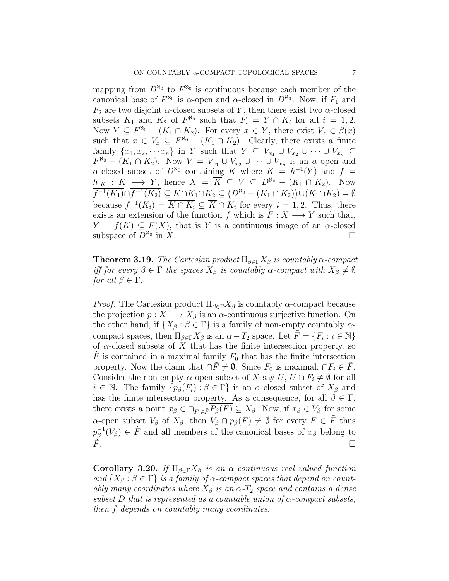mapping from  $D^{\aleph_0}$  to  $F^{\aleph_0}$  is continuous because each member of the canonical base of  $F^{\aleph_0}$  is  $\alpha$ -open and  $\alpha$ -closed in  $D^{\aleph_0}$ . Now, if  $F_1$  and  $F_2$  are two disjoint  $\alpha$ -closed subsets of Y, then there exist two  $\alpha$ -closed subsets  $K_1$  and  $K_2$  of  $F^{\aleph_0}$  such that  $F_i = Y \cap K_i$  for all  $i = 1, 2$ . Now  $Y \subseteq F^{\aleph_0} - (K_1 \cap K_2)$ . For every  $x \in Y$ , there exist  $V_x \in \beta(x)$ such that  $x \in V_x \subseteq F^{\aleph_0} - (K_1 \cap K_2)$ . Clearly, there exists a finite family  $\{x_1, x_2, \cdots x_n\}$  in Y such that  $Y \subseteq V_{x_1} \cup V_{x_2} \cup \cdots \cup V_{x_n} \subseteq$  $F^{\aleph_0} - (K_1 \cap K_2)$ . Now  $V = V_{x_1} \cup V_{x_2} \cup \cdots \cup V_{x_n}$  is an  $\alpha$ -open and  $\alpha$ -closed subset of  $D^{\aleph_0}$  containing K where  $K = h^{-1}(Y)$  and  $f =$  $h|_K : K \longrightarrow Y$ , hence  $X = \overline{K} \subseteq V \subseteq D^{\aleph_0} - (K_1 \cap K_2)$ . Now  $\overline{f^{-1}(K_1)} \cap \overline{f^{-1}(K_2)} \subseteq \overline{K} \cap K_1 \cap K_2 \subseteq (D^{\aleph_0} - (K_1 \cap K_2)) \cup (K_1 \cap K_2) = \emptyset$ because  $f^{-1}(K_i) = \overline{K \cap K_i} \subseteq \overline{K} \cap K_i$  for every  $i = 1, 2$ . Thus, there exists an extension of the function f which is  $F: X \longrightarrow Y$  such that,  $Y = f(K) \subseteq F(X)$ , that is Y is a continuous image of an  $\alpha$ -closed subspace of  $D^{\aleph_0}$  in X. in  $X$ .

**Theorem 3.19.** The Cartesian product  $\Pi_{\beta \in \Gamma} X_{\beta}$  is countably  $\alpha$ -compact iff for every  $\beta \in \Gamma$  the spaces  $X_{\beta}$  is countably  $\alpha$ -compact with  $X_{\beta} \neq \emptyset$ for all  $\beta \in \Gamma$ .

*Proof.* The Cartesian product  $\Pi_{\beta \in \Gamma} X_{\beta}$  is countably  $\alpha$ -compact because the projection  $p: X \longrightarrow X_{\beta}$  is an  $\alpha$ -continuous surjective function. On the other hand, if  $\{X_\beta : \beta \in \Gamma\}$  is a family of non-empty countably  $\alpha$ compact spaces, then  $\Pi_{\beta \in \Gamma} X_{\beta}$  is an  $\alpha - T_2$  space. Let  $\tilde{F} = \{F_i : i \in \mathbb{N}\}\$ of  $\alpha$ -closed subsets of X that has the finite intersection property, so  $\ddot{F}$  is contained in a maximal family  $F_0$  that has the finite intersection property. Now the claim that  $\cap \tilde{F} \neq \emptyset$ . Since  $F_0$  is maximal,  $\cap F_i \in \tilde{F}$ . Consider the non-empty  $\alpha$ -open subset of X say  $U, U \cap F_i \neq \emptyset$  for all  $i \in \mathbb{N}$ . The family  $\{p_\beta(F_i) : \beta \in \Gamma\}$  is an  $\alpha$ -closed subset of  $X_\beta$  and has the finite intersection property. As a consequence, for all  $\beta \in \Gamma$ , there exists a point  $x_{\beta} \in \bigcap_{F_i \in \tilde{F}} P_{\beta}(F) \subseteq X_{\beta}$ . Now, if  $x_{\beta} \in V_{\beta}$  for some α-open subset  $V_\beta$  of  $X_\beta$ , then  $V_\beta \cap p_\beta(F) \neq \emptyset$  for every  $F \in \tilde{F}$  thus  $p^{-1}_\beta$  $\bar{\beta}^{-1}(V_{\beta}) \in \tilde{F}$  and all members of the canonical bases of  $x_{\beta}$  belong to  $\tilde{F}$ .

Corollary 3.20. If  $\Pi_{\beta \in \Gamma} X_{\beta}$  is an  $\alpha$ -continuous real valued function and  $\{X_\beta : \beta \in \Gamma\}$  is a family of  $\alpha$ -compact spaces that depend on countably many coordinates where  $X_{\beta}$  is an  $\alpha$ - $T_2$  space and contains a dense subset D that is represented as a countable union of  $\alpha$ -compact subsets, then f depends on countably many coordinates.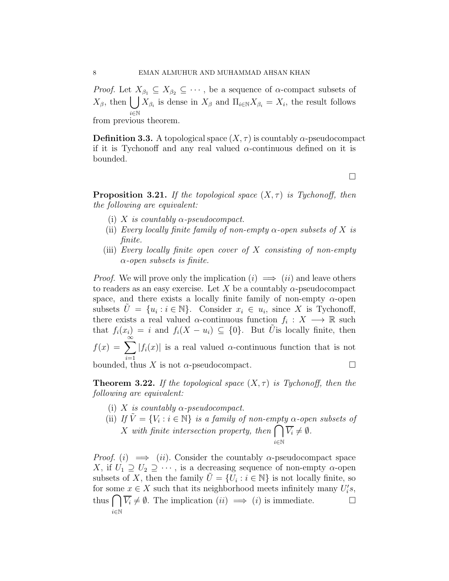*Proof.* Let  $X_{\beta_1} \subseteq X_{\beta_2} \subseteq \cdots$ , be a sequence of  $\alpha$ -compact subsets of  $X_{\beta}$ , then  $\left| \right|$ i∈N  $X_{\beta_i}$  is dense in  $X_{\beta}$  and  $\Pi_{i\in\mathbb{N}}X_{\beta_i}=X_i$ , the result follows

from previous theorem.

**Definition 3.3.** A topological space  $(X, \tau)$  is countably  $\alpha$ -pseudocompact if it is Tychonoff and any real valued  $\alpha$ -continuous defined on it is bounded.

 $\Box$ 

**Proposition 3.21.** If the topological space  $(X, \tau)$  is Tychonoff, then the following are equivalent:

- (i) X is countably  $\alpha$ -pseudocompact.
- (ii) Every locally finite family of non-empty  $\alpha$ -open subsets of X is finite.
- (iii) Every locally finite open cover of  $X$  consisting of non-empty  $\alpha$ -open subsets is finite.

*Proof.* We will prove only the implication  $(i) \implies (ii)$  and leave others to readers as an easy exercise. Let X be a countably  $\alpha$ -pseudocompact space, and there exists a locally finite family of non-empty  $\alpha$ -open subsets  $\tilde{U} = \{u_i : i \in \mathbb{N}\}\$ . Consider  $x_i \in u_i$ , since X is Tychonoff, there exists a real valued  $\alpha$ -continuous function  $f_i: X \longrightarrow \mathbb{R}$  such that  $f_i(x_i) = i$  and  $f_i(X - u_i) \subseteq \{0\}$ . But  $\tilde{U}$  is locally finite, then  $f(x) = \sum_{n=0}^{\infty}$  $i=1$  $|f_i(x)|$  is a real valued  $\alpha$ -continuous function that is not bounded, thus X is not  $\alpha$ -pseudocompact.

**Theorem 3.22.** If the topological space  $(X, \tau)$  is Tychonoff, then the following are equivalent:

- (i) X is countably  $\alpha$ -pseudocompact.
- (ii) If  $\tilde{V} = \{V_i : i \in \mathbb{N}\}\$ is a family of non-empty  $\alpha$ -open subsets of  $\overline{X}$  with finite intersection property, then  $\bigcap$ i∈N  $V_i \neq \emptyset$ .

*Proof.* (i)  $\implies$  (ii). Consider the countably  $\alpha$ -pseudocompact space X, if  $U_1 \supseteq U_2 \supseteq \cdots$ , is a decreasing sequence of non-empty  $\alpha$ -open subsets of X, then the family  $\tilde{U} = \{U_i : i \in \mathbb{N}\}\$ is not locally finite, so for some  $x \in X$  such that its neighborhood meets infinitely many  $U_i'$  $i^{\prime}s,$ thus  $\bigcap \overline{V_i} \neq \emptyset$ . The implication  $(ii) \implies (i)$  is immediate. i∈N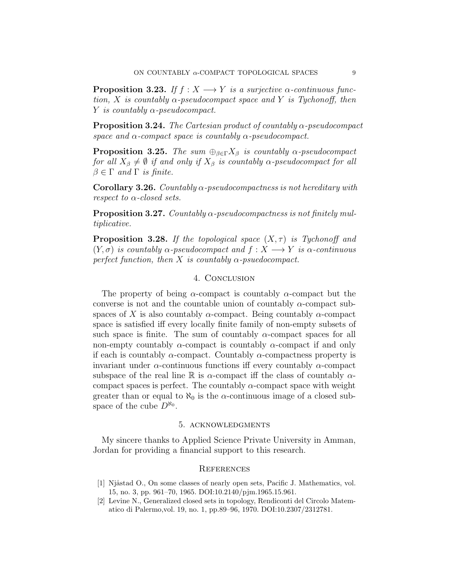**Proposition 3.23.** If  $f : X \longrightarrow Y$  is a surjective  $\alpha$ -continuous function, X is countably  $\alpha$ -pseudocompact space and Y is Tychonoff, then Y is countably  $\alpha$ -pseudocompact.

**Proposition 3.24.** The Cartesian product of countably  $\alpha$ -pseudocompact space and  $\alpha$ -compact space is countably  $\alpha$ -pseudocompact.

**Proposition 3.25.** The sum  $\bigoplus_{\beta \in \Gamma} X_{\beta}$  is countably  $\alpha$ -pseudocompact for all  $X_{\beta} \neq \emptyset$  if and only if  $X_{\beta}$  is countably  $\alpha$ -pseudocompact for all  $\beta \in \Gamma$  and  $\Gamma$  is finite.

**Corollary 3.26.** Countably  $\alpha$ -pseudocompactness is not hereditary with respect to  $\alpha$ -closed sets.

**Proposition 3.27.** Countably  $\alpha$ -pseudocompactness is not finitely multiplicative.

**Proposition 3.28.** If the topological space  $(X, \tau)$  is Tychonoff and  $(Y, \sigma)$  is countably  $\alpha$ -pseudocompact and  $f : X \longrightarrow Y$  is  $\alpha$ -continuous perfect function, then X is countably  $\alpha$ -psuedocompact.

# 4. Conclusion

The property of being  $\alpha$ -compact is countably  $\alpha$ -compact but the converse is not and the countable union of countably  $\alpha$ -compact subspaces of X is also countably  $\alpha$ -compact. Being countably  $\alpha$ -compact space is satisfied iff every locally finite family of non-empty subsets of such space is finite. The sum of countably  $\alpha$ -compact spaces for all non-empty countably  $\alpha$ -compact is countably  $\alpha$ -compact if and only if each is countably  $\alpha$ -compact. Countably  $\alpha$ -compactness property is invariant under  $\alpha$ -continuous functions iff every countably  $\alpha$ -compact subspace of the real line R is  $\alpha$ -compact iff the class of countably  $\alpha$ compact spaces is perfect. The countably  $\alpha$ -compact space with weight greater than or equal to  $\aleph_0$  is the  $\alpha$ -continuous image of a closed subspace of the cube  $D^{\aleph_0}$ .

## 5. acknowledgments

My sincere thanks to Applied Science Private University in Amman, Jordan for providing a financial support to this research.

## **REFERENCES**

- <span id="page-8-0"></span>[1] Njåstad O., On some classes of nearly open sets, Pacific J. Mathematics, vol. 15, no. 3, pp. 961–70, 1965. DOI:10.2140/pjm.1965.15.961.
- <span id="page-8-1"></span>[2] Levine N., Generalized closed sets in topology, Rendiconti del Circolo Matematico di Palermo,vol. 19, no. 1, pp.89–96, 1970. DOI:10.2307/2312781.